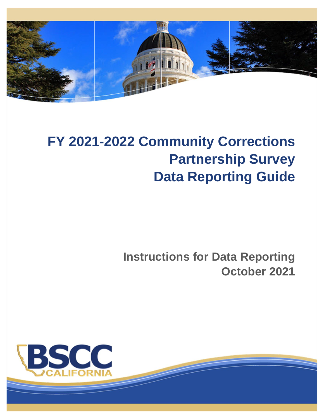

# **FY 2021-2022 Community Corrections Partnership Survey Data Reporting Guide**

**Instructions for Data Reporting October 2021**

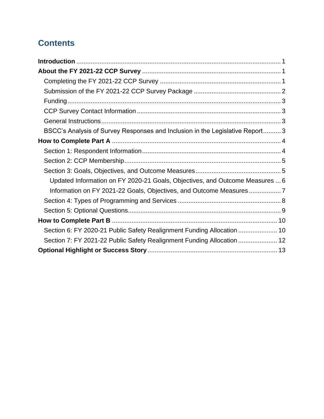# **Contents**

| BSCC's Analysis of Survey Responses and Inclusion in the Legislative Report 3 |
|-------------------------------------------------------------------------------|
|                                                                               |
|                                                                               |
|                                                                               |
|                                                                               |
| Updated Information on FY 2020-21 Goals, Objectives, and Outcome Measures  6  |
| Information on FY 2021-22 Goals, Objectives, and Outcome Measures7            |
|                                                                               |
|                                                                               |
|                                                                               |
| Section 6: FY 2020-21 Public Safety Realignment Funding Allocation  10        |
| Section 7: FY 2021-22 Public Safety Realignment Funding Allocation  12        |
|                                                                               |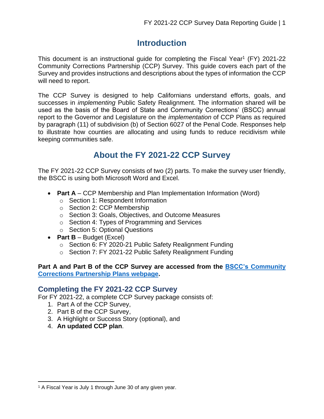## **Introduction**

<span id="page-2-0"></span>This document is an instructional guide for completing the Fiscal Year<sup>1</sup> (FY) 2021-22 Community Corrections Partnership (CCP) Survey. This guide covers each part of the Survey and provides instructions and descriptions about the types of information the CCP will need to report.

The CCP Survey is designed to help Californians understand efforts, goals, and successes in *implementing* Public Safety Realignment. The information shared will be used as the basis of the Board of State and Community Corrections' (BSCC) annual report to the Governor and Legislature on the *implementation* of CCP Plans as required by paragraph (11) of subdivision (b) of Section 6027 of the Penal Code. Responses help to illustrate how counties are allocating and using funds to reduce recidivism while keeping communities safe.

# **About the FY 2021-22 CCP Survey**

<span id="page-2-1"></span>The FY 2021-22 CCP Survey consists of two (2) parts. To make the survey user friendly, the BSCC is using both Microsoft Word and Excel.

- **Part A** CCP Membership and Plan Implementation Information (Word)
	- o Section 1: Respondent Information
	- o Section 2: CCP Membership
	- o Section 3: Goals, Objectives, and Outcome Measures
	- o Section 4: Types of Programming and Services
	- o Section 5: Optional Questions
- **Part B**  Budget (Excel)
	- o Section 6: FY 2020-21 Public Safety Realignment Funding
	- o Section 7: FY 2021-22 Public Safety Realignment Funding

#### **Part A and Part B of the CCP Survey are accessed from the BSCC's [Community](http://www.bscc.ca.gov/m_realignment/)  [Corrections Partnership Plans](http://www.bscc.ca.gov/m_realignment/) webpage.**

## <span id="page-2-2"></span>**Completing the FY 2021-22 CCP Survey**

For FY 2021-22, a complete CCP Survey package consists of:

- 1. Part A of the CCP Survey,
- 2. Part B of the CCP Survey,
- 3. A Highlight or Success Story (optional), and
- 4. **An updated CCP plan**.

<sup>&</sup>lt;sup>1</sup> A Fiscal Year is July 1 through June 30 of any given year.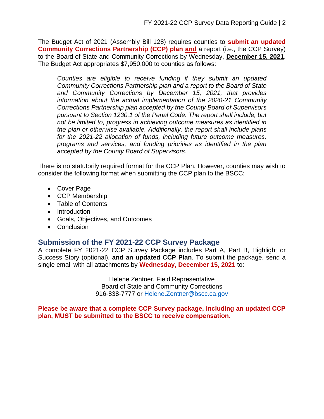The Budget Act of 2021 (Assembly Bill 128) requires counties to **submit an updated Community Corrections Partnership (CCP) plan and** a report (i.e., the CCP Survey) to the Board of State and Community Corrections by Wednesday, **December 15, 2021**. The Budget Act appropriates \$7,950,000 to counties as follows:

*Counties are eligible to receive funding if they submit an updated Community Corrections Partnership plan and a report to the Board of State and Community Corrections by December 15, 2021, that provides information about the actual implementation of the 2020-21 Community Corrections Partnership plan accepted by the County Board of Supervisors pursuant to Section 1230.1 of the Penal Code. The report shall include, but not be limited to, progress in achieving outcome measures as identified in the plan or otherwise available. Additionally, the report shall include plans for the 2021-22 allocation of funds, including future outcome measures, programs and services, and funding priorities as identified in the plan accepted by the County Board of Supervisors*.

There is no statutorily required format for the CCP Plan. However, counties may wish to consider the following format when submitting the CCP plan to the BSCC:

- Cover Page
- CCP Membership
- Table of Contents
- Introduction
- Goals, Objectives, and Outcomes
- Conclusion

#### <span id="page-3-0"></span>**Submission of the FY 2021-22 CCP Survey Package**

A complete FY 2021-22 CCP Survey Package includes Part A, Part B, Highlight or Success Story (optional), **and an updated CCP Plan**. To submit the package, send a single email with all attachments by **Wednesday, December 15, 2021** to:

> Helene Zentner, Field Representative Board of State and Community Corrections 916-838-7777 or [Helene.Zentner@bscc.ca.gov](mailto:Helene.Zentner@bscc.ca.gov)

<span id="page-3-1"></span>**Please be aware that a complete CCP Survey package, including an updated CCP plan, MUST be submitted to the BSCC to receive compensation.**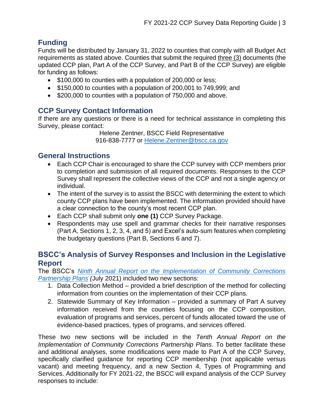## **Funding**

Funds will be distributed by January 31, 2022 to counties that comply with all Budget Act requirements as stated above. Counties that submit the required three (3) documents (the updated CCP plan, Part A of the CCP Survey, and Part B of the CCP Survey) are eligible for funding as follows:

- \$100,000 to counties with a population of 200,000 or less;
- \$150,000 to counties with a population of 200,001 to 749,999; and
- \$200,000 to counties with a population of 750,000 and above.

## <span id="page-4-0"></span>**CCP Survey Contact Information**

If there are any questions or there is a need for technical assistance in completing this Survey, please contact:

Helene Zentner, BSCC Field Representative 916-838-7777 or Helene. Zentner@bscc.ca.gov

#### <span id="page-4-1"></span>**General Instructions**

- Each CCP Chair is encouraged to share the CCP survey with CCP members prior to completion and submission of all required documents. Responses to the CCP Survey shall represent the collective views of the CCP and not a single agency or individual.
- The intent of the survey is to assist the BSCC with determining the extent to which county CCP plans have been implemented. The information provided should have a clear connection to the county's most recent CCP plan.
- Each CCP shall submit only **one (1)** CCP Survey Package.
- Respondents may use spell and grammar checks for their narrative responses (Part A, Sections 1, 2, 3, 4, and 5) and Excel's auto-sum features when completing the budgetary questions (Part B, Sections 6 and 7).

## <span id="page-4-2"></span>**BSCC's Analysis of Survey Responses and Inclusion in the Legislative Report**

The BSCC's *[Ninth Annual Report on the Implementation of Community Corrections](https://www.bscc.ca.gov/wp-content/uploads/2021-Community-Corrections-Partnership-FINAL.pdf)  [Partnership Plans](https://www.bscc.ca.gov/wp-content/uploads/2021-Community-Corrections-Partnership-FINAL.pdf) (*July 2021) included two new sections:

- 1. Data Collection Method provided a brief description of the method for collecting information from counties on the implementation of their CCP plans.
- 2. Statewide Summary of Key Information provided a summary of Part A survey information received from the counties focusing on the CCP composition, evaluation of programs and services, percent of funds allocated toward the use of evidence-based practices, types of programs, and services offered.

These two new sections will be included in the *Tenth Annual Report on the Implementation of Community Corrections Partnership Plans*. To better facilitate these and additional analyses, some modifications were made to Part A of the CCP Survey, specifically clarified guidance for reporting CCP membership (not applicable versus vacant) and meeting frequency, and a new Section 4, Types of Programming and Services. Additionally for FY 2021-22, the BSCC will expand analysis of the CCP Survey responses to include: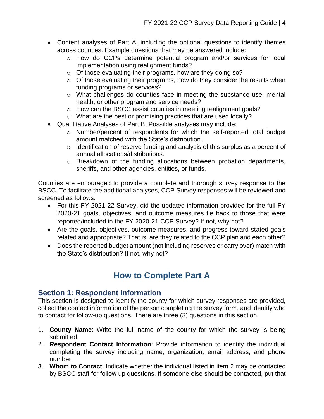- Content analyses of Part A, including the optional questions to identify themes across counties. Example questions that may be answered include:
	- o How do CCPs determine potential program and/or services for local implementation using realignment funds?
	- o Of those evaluating their programs, how are they doing so?
	- $\circ$  Of those evaluating their programs, how do they consider the results when funding programs or services?
	- o What challenges do counties face in meeting the substance use, mental health, or other program and service needs?
	- o How can the BSCC assist counties in meeting realignment goals?
	- o What are the best or promising practices that are used locally?
- Quantitative Analyses of Part B. Possible analyses may include:
	- o Number/percent of respondents for which the self-reported total budget amount matched with the State's distribution.
	- $\circ$  Identification of reserve funding and analysis of this surplus as a percent of annual allocations/distributions.
	- o Breakdown of the funding allocations between probation departments, sheriffs, and other agencies, entities, or funds.

Counties are encouraged to provide a complete and thorough survey response to the BSCC. To facilitate the additional analyses, CCP Survey responses will be reviewed and screened as follows:

- For this FY 2021-22 Survey, did the updated information provided for the full FY 2020-21 goals, objectives, and outcome measures tie back to those that were reported/included in the FY 2020-21 CCP Survey? If not, why not?
- Are the goals, objectives, outcome measures, and progress toward stated goals related and appropriate? That is, are they related to the CCP plan and each other?
- Does the reported budget amount (not including reserves or carry over) match with the State's distribution? If not, why not?

# **How to Complete Part A**

## <span id="page-5-1"></span><span id="page-5-0"></span>**Section 1: Respondent Information**

This section is designed to identify the county for which survey responses are provided, collect the contact information of the person completing the survey form, and identify who to contact for follow-up questions. There are three (3) questions in this section.

- 1. **County Name**: Write the full name of the county for which the survey is being submitted.
- 2. **Respondent Contact Information**: Provide information to identify the individual completing the survey including name, organization, email address, and phone number.
- 3. **Whom to Contact**: Indicate whether the individual listed in item 2 may be contacted by BSCC staff for follow up questions. If someone else should be contacted, put that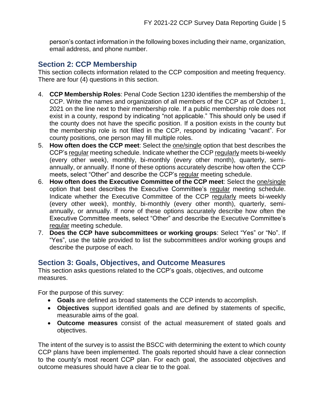person's contact information in the following boxes including their name, organization, email address, and phone number.

## <span id="page-6-0"></span>**Section 2: CCP Membership**

This section collects information related to the CCP composition and meeting frequency. There are four (4) questions in this section.

- 4. **CCP Membership Roles**: Penal Code Section 1230 identifies the membership of the CCP. Write the names and organization of all members of the CCP as of October 1, 2021 on the line next to their membership role. If a public membership role does not exist in a county, respond by indicating "not applicable." This should only be used if the county does not have the specific position. If a position exists in the county but the membership role is not filled in the CCP, respond by indicating "vacant". For county positions, one person may fill multiple roles.
- 5. **How often does the CCP meet**: Select the one/single option that best describes the CCP's regular meeting schedule. Indicate whether the CCP regularly meets bi-weekly (every other week), monthly, bi-monthly (every other month), quarterly, semiannually, or annually. If none of these options accurately describe how often the CCP meets, select "Other" and describe the CCP's regular meeting schedule.
- 6. **How often does the Executive Committee of the CCP meet**: Select the one/single option that best describes the Executive Committee's regular meeting schedule. Indicate whether the Executive Committee of the CCP regularly meets bi-weekly (every other week), monthly, bi-monthly (every other month), quarterly, semiannually, or annually. If none of these options accurately describe how often the Executive Committee meets, select "Other" and describe the Executive Committee's regular meeting schedule.
- 7. **Does the CCP have subcommittees or working groups**: Select "Yes" or "No". If "Yes", use the table provided to list the subcommittees and/or working groups and describe the purpose of each.

#### <span id="page-6-1"></span>**Section 3: Goals, Objectives, and Outcome Measures**

This section asks questions related to the CCP's goals, objectives, and outcome measures.

For the purpose of this survey:

- **Goals** are defined as broad statements the CCP intends to accomplish.
- **Objectives** support identified goals and are defined by statements of specific, measurable aims of the goal.
- **Outcome measures** consist of the actual measurement of stated goals and objectives.

The intent of the survey is to assist the BSCC with determining the extent to which county CCP plans have been implemented. The goals reported should have a clear connection to the county's most recent CCP plan. For each goal, the associated objectives and outcome measures should have a clear tie to the goal.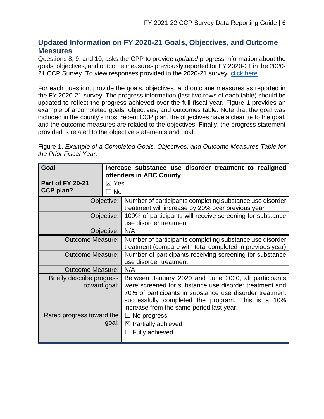#### <span id="page-7-0"></span>**Updated Information on FY 2020-21 Goals, Objectives, and Outcome Measures**

Questions 8, 9, and 10, asks the CPP to provide *updated* progress information about the goals, objectives, and outcome measures previously reported for FY 2020-21 in the 2020- 21 CCP Survey. To view responses provided in the 2020-21 survey, [click here.](https://www.bscc.ca.gov/wp-content/uploads/2021-Community-Corrections-Partnership-FINAL.pdf)

For each question, provide the goals, objectives, and outcome measures as reported in the FY 2020-21 survey. The progress information (last two rows of each table) should be updated to reflect the progress achieved over the full fiscal year. Figure 1 provides an example of a completed goals, objectives, and outcomes table. Note that the goal was included in the county's most recent CCP plan, the objectives have a clear tie to the goal, and the outcome measures are related to the objectives. Finally, the progress statement provided is related to the objective statements and goal.

Figure 1. *Example of a Completed Goals, Objectives, and Outcome Measures Table for the Prior Fiscal Year.* 

| Goal                                        |                                   | Increase substance use disorder treatment to realigned<br>offenders in ABC County                                                                                                                                                                                          |  |  |  |
|---------------------------------------------|-----------------------------------|----------------------------------------------------------------------------------------------------------------------------------------------------------------------------------------------------------------------------------------------------------------------------|--|--|--|
| <b>Part of FY 20-21</b><br><b>CCP plan?</b> | $\boxtimes$ Yes<br>$\sqsupset$ No |                                                                                                                                                                                                                                                                            |  |  |  |
|                                             | Objective:                        | Number of participants completing substance use disorder<br>treatment will increase by 20% over previous year                                                                                                                                                              |  |  |  |
| Objective:                                  |                                   | 100% of participants will receive screening for substance<br>use disorder treatment                                                                                                                                                                                        |  |  |  |
|                                             | Objective:                        | N/A                                                                                                                                                                                                                                                                        |  |  |  |
| <b>Outcome Measure:</b>                     |                                   | Number of participants completing substance use disorder<br>treatment (compare with total completed in previous year)                                                                                                                                                      |  |  |  |
| <b>Outcome Measure:</b>                     |                                   | Number of participants receiving screening for substance<br>use disorder treatment                                                                                                                                                                                         |  |  |  |
| Outcome Measure: I                          |                                   | N/A                                                                                                                                                                                                                                                                        |  |  |  |
| Briefly describe progress<br>toward goal:   |                                   | Between January 2020 and June 2020, all participants<br>were screened for substance use disorder treatment and<br>70% of participants in substance use disorder treatment<br>successfully completed the program. This is a 10%<br>increase from the same period last year. |  |  |  |
| Rated progress toward the                   | goal:                             | $\Box$ No progress<br>$\boxtimes$ Partially achieved<br>$\Box$ Fully achieved                                                                                                                                                                                              |  |  |  |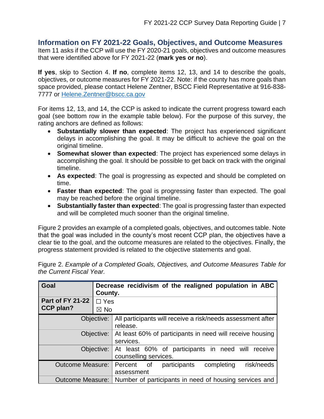#### <span id="page-8-0"></span>**Information on FY 2021-22 Goals, Objectives, and Outcome Measures**

Item 11 asks if the CCP will use the FY 2020-21 goals, objectives and outcome measures that were identified above for FY 2021-22 (**mark yes or no**).

**If yes**, skip to Section 4. **If no**, complete items 12, 13, and 14 to describe the goals, objectives, or outcome measures for FY 2021-22. Note: if the county has more goals than space provided, please contact Helene Zentner, BSCC Field Representative at 916-838- 7777 or [Helene.Zentner@bscc.ca.gov](mailto:Helene.Zentner@bscc.ca.gov)

For items 12, 13, and 14, the CCP is asked to indicate the current progress toward each goal (see bottom row in the example table below). For the purpose of this survey, the rating anchors are defined as follows:

- **Substantially slower than expected**: The project has experienced significant delays in accomplishing the goal. It may be difficult to achieve the goal on the original timeline.
- **Somewhat slower than expected**: The project has experienced some delays in accomplishing the goal. It should be possible to get back on track with the original timeline.
- **As expected**: The goal is progressing as expected and should be completed on time.
- **Faster than expected**: The goal is progressing faster than expected. The goal may be reached before the original timeline.
- **Substantially faster than expected**: The goal is progressing faster than expected and will be completed much sooner than the original timeline.

Figure 2 provides an example of a completed goals, objectives, and outcomes table. Note that the goal was included in the county's most recent CCP plan, the objectives have a clear tie to the goal, and the outcome measures are related to the objectives. Finally, the progress statement provided is related to the objective statements and goal.

Figure 2. *Example of a Completed Goals, Objectives, and Outcome Measures Table for the Current Fiscal Year.* 

| Goal                                        | County.                      | Decrease recidivism of the realigned population in ABC                     |
|---------------------------------------------|------------------------------|----------------------------------------------------------------------------|
| <b>Part of FY 21-22</b><br><b>CCP plan?</b> | $\Box$ Yes<br>$\boxtimes$ No |                                                                            |
|                                             | Objective:                   | All participants will receive a risk/needs assessment after<br>release.    |
|                                             | Objective:                   | At least 60% of participants in need will receive housing<br>services.     |
|                                             | Objective:                   | At least 60% of participants in need will receive<br>counselling services. |
| <b>Outcome Measure:</b>                     |                              | risk/needs<br>completing<br>participants<br>Percent of<br>assessment       |
| Outcome Measure:                            |                              | Number of participants in need of housing services and                     |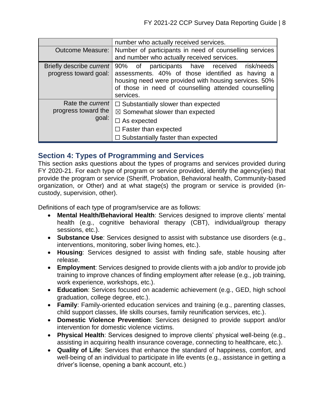|                                                         | number who actually received services.                                                                                                                                                                                            |  |  |  |  |
|---------------------------------------------------------|-----------------------------------------------------------------------------------------------------------------------------------------------------------------------------------------------------------------------------------|--|--|--|--|
| <b>Outcome Measure:</b>                                 | Number of participants in need of counselling services                                                                                                                                                                            |  |  |  |  |
|                                                         | and number who actually received services.                                                                                                                                                                                        |  |  |  |  |
| Briefly describe current<br>progress toward goal:       | participants have received risk/needs<br>90% of<br>assessments. 40% of those identified as having a<br>housing need were provided with housing services. 50%<br>of those in need of counselling attended counselling<br>services. |  |  |  |  |
| Rate the <i>current</i><br>progress toward the<br>goal: | $\Box$ Substantially slower than expected<br>$\boxtimes$ Somewhat slower than expected<br>$\Box$ As expected<br>$\Box$ Faster than expected<br>$\Box$ Substantially faster than expected                                          |  |  |  |  |

#### <span id="page-9-0"></span>**Section 4: Types of Programming and Services**

This section asks questions about the types of programs and services provided during FY 2020-21. For each type of program or service provided, identify the agency(ies) that provide the program or service (Sheriff, Probation, Behavioral health, Community-based organization, or Other) and at what stage(s) the program or service is provided (incustody, supervision, other).

Definitions of each type of program/service are as follows:

- **Mental Health/Behavioral Health**: Services designed to improve clients' mental health (e.g., cognitive behavioral therapy (CBT), individual/group therapy sessions, etc.).
- **Substance Use**: Services designed to assist with substance use disorders (e.g., interventions, monitoring, sober living homes, etc.).
- **Housing**: Services designed to assist with finding safe, stable housing after release.
- **Employment**: Services designed to provide clients with a job and/or to provide job training to improve chances of finding employment after release (e.g., job training, work experience, workshops, etc.).
- **Education**: Services focused on academic achievement (e.g., GED, high school graduation, college degree, etc.).
- **Family**: Family-oriented education services and training (e.g., parenting classes, child support classes, life skills courses, family reunification services, etc.).
- **Domestic Violence Prevention**: Services designed to provide support and/or intervention for domestic violence victims.
- **Physical Health**: Services designed to improve clients' physical well-being (e.g., assisting in acquiring health insurance coverage, connecting to healthcare, etc.).
- **Quality of Life**: Services that enhance the standard of happiness, comfort, and well-being of an individual to participate in life events (e.g., assistance in getting a driver's license, opening a bank account, etc.)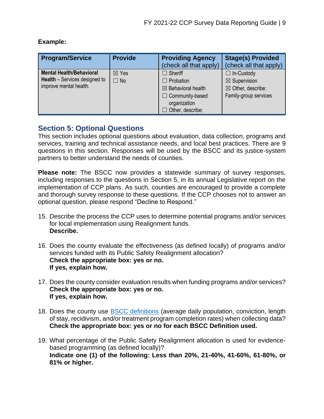| <b>Program/Service</b>                                                                            | <b>Provide</b>               | <b>Providing Agency</b><br>(check all that apply)                                                                                        | <b>Stage(s) Provided</b><br>(check all that apply)                                                    |
|---------------------------------------------------------------------------------------------------|------------------------------|------------------------------------------------------------------------------------------------------------------------------------------|-------------------------------------------------------------------------------------------------------|
| <b>Mental Health/Behavioral</b><br><b>Health</b> – Services designed to<br>improve mental health. | $\boxtimes$ Yes<br>$\Box$ No | $\Box$ Sheriff<br>$\Box$ Probation<br>$\boxtimes$ Behavioral health<br>$\Box$ Community-based<br>organization<br>$\Box$ Other, describe: | $\Box$ In-Custody<br>$\boxtimes$ Supervision<br>$\boxtimes$ Other, describe:<br>Family-group services |

#### **Example:**

## <span id="page-10-0"></span>**Section 5: Optional Questions**

This section includes optional questions about evaluation, data collection, programs and services, training and technical assistance needs, and local best practices. There are 9 questions in this section. Responses will be used by the BSCC and its justice-system partners to better understand the needs of counties.

**Please note:** The BSCC now provides a statewide summary of survey responses, including responses to the questions in Section 5, in its annual Legislative report on the implementation of CCP plans. As such, counties are encouraged to provide a complete and thorough survey response to these questions. If the CCP chooses not to answer an optional question, please respond "Decline to Respond."

- 15. Describe the process the CCP uses to determine potential programs and/or services for local implementation using Realignment funds. **Describe.**
- 16. Does the county evaluate the effectiveness (as defined locally) of programs and/or services funded with its Public Safety Realignment allocation? **Check the appropriate box: yes or no. If yes, explain how.**
- 17. Does the county consider evaluation results when funding programs and/or services? **Check the appropriate box: yes or no. If yes, explain how.**
- 18. Does the county use **BSCC** definitions (average daily population, conviction, length of stay, recidivism, and/or treatment program completion rates) when collecting data? **Check the appropriate box: yes or no for each BSCC Definition used.**
- 19. What percentage of the Public Safety Realignment allocation is used for evidencebased programming (as defined locally)? **Indicate one (1) of the following: Less than 20%, 21-40%, 41-60%, 61-80%, or 81% or higher.**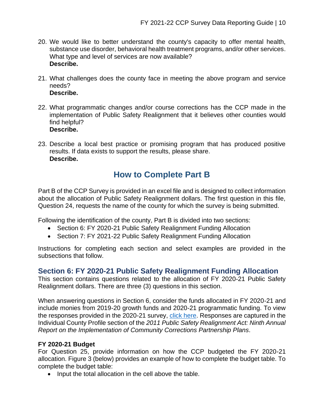- 20. We would like to better understand the county's capacity to offer mental health, substance use disorder, behavioral health treatment programs, and/or other services. What type and level of services are now available? **Describe.**
- 21. What challenges does the county face in meeting the above program and service needs? **Describe.**
- 22. What programmatic changes and/or course corrections has the CCP made in the implementation of Public Safety Realignment that it believes other counties would find helpful? **Describe.**
- 23. Describe a local best practice or promising program that has produced positive results. If data exists to support the results, please share. **Describe.**

# **How to Complete Part B**

<span id="page-11-0"></span>Part B of the CCP Survey is provided in an excel file and is designed to collect information about the allocation of Public Safety Realignment dollars. The first question in this file, Question 24, requests the name of the county for which the survey is being submitted.

Following the identification of the county, Part B is divided into two sections:

- Section 6: FY 2020-21 Public Safety Realignment Funding Allocation
- Section 7: FY 2021-22 Public Safety Realignment Funding Allocation

Instructions for completing each section and select examples are provided in the subsections that follow.

#### <span id="page-11-1"></span>**Section 6: FY 2020-21 Public Safety Realignment Funding Allocation**

This section contains questions related to the allocation of FY 2020-21 Public Safety Realignment dollars. There are three (3) questions in this section.

When answering questions in Section 6, consider the funds allocated in FY 2020-21 and include monies from 2019-20 growth funds and 2020-21 programmatic funding. To view the responses provided in the 2020-21 survey, [click here.](https://www.bscc.ca.gov/wp-content/uploads/2021-Community-Corrections-Partnership-FINAL.pdf) Responses are captured in the Individual County Profile section of the *2011 Public Safety Realignment Act: Ninth Annual Report on the Implementation of Community Corrections Partnership Plans*.

#### **FY 2020-21 Budget**

For Question 25, provide information on how the CCP budgeted the FY 2020-21 allocation. Figure 3 (below) provides an example of how to complete the budget table. To complete the budget table:

• Input the total allocation in the cell above the table.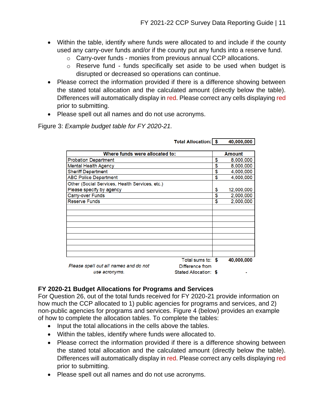- Within the table, identify where funds were allocated to and include if the county used any carry-over funds and/or if the county put any funds into a reserve fund.
	- o Carry-over funds monies from previous annual CCP allocations.
	- o Reserve fund funds specifically set aside to be used when budget is disrupted or decreased so operations can continue.
- Please correct the information provided if there is a difference showing between the stated total allocation and the calculated amount (directly below the table). Differences will automatically display in red. Please correct any cells displaying red prior to submitting.
- Please spell out all names and do not use acronyms.

Figure 3: *Example budget table for FY 2020-21.*

|                                                | <b>Total Allocation: \$</b> | 40,000,000       |
|------------------------------------------------|-----------------------------|------------------|
|                                                |                             |                  |
| Where funds were allocated to:                 |                             | Amount           |
| <b>Probation Department</b>                    |                             | \$<br>8,000,000  |
| <b>Mental Health Agency</b>                    |                             | \$<br>8,000,000  |
| <b>Sheriff Department</b>                      |                             | \$<br>4,000,000  |
| <b>ABC Police Department</b>                   |                             | \$<br>4,000,000  |
| Other (Social Services, Health Services, etc.) |                             |                  |
| Please specify by agency                       |                             | \$<br>12,000,000 |
| <b>Carry-over Funds</b>                        |                             | \$<br>2,000,000  |
| <b>Reserve Funds</b>                           |                             | \$<br>2,000,000  |
|                                                |                             |                  |
|                                                |                             |                  |
|                                                |                             |                  |
|                                                |                             |                  |
|                                                |                             |                  |
|                                                |                             |                  |
|                                                |                             |                  |
|                                                |                             |                  |
|                                                |                             |                  |
|                                                | Total sums to: \$           | 40,000,000       |
| Please spell out all names and do not          | Difference from             |                  |
| use acronyms.                                  | Stated Allocation: \$       |                  |

**FY 2020-21 Budget Allocations for Programs and Services**

For Question 26, out of the total funds received for FY 2020-21 provide information on how much the CCP allocated to 1) public agencies for programs and services, and 2) non-public agencies for programs and services. Figure 4 (below) provides an example of how to complete the allocation tables. To complete the tables:

- Input the total allocations in the cells above the tables.
- Within the tables, identify where funds were allocated to.
- Please correct the information provided if there is a difference showing between the stated total allocation and the calculated amount (directly below the table). Differences will automatically display in red. Please correct any cells displaying red prior to submitting.
- Please spell out all names and do not use acronyms.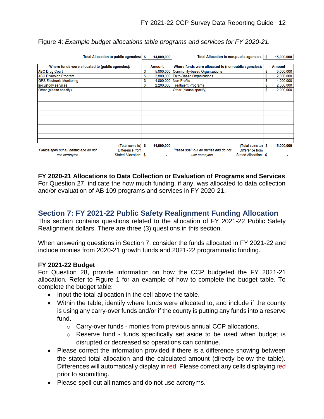| Total Allocation to public agencies:   \$                | 14,000,000      | Total Allocation to non-public agencies: \$              | 15,000,000      |
|----------------------------------------------------------|-----------------|----------------------------------------------------------|-----------------|
|                                                          |                 |                                                          |                 |
| Where funds were allocated to (public agencies):         | Amount          | Where funds were allocated to (non-public agencies):     | Amount          |
| <b>ABC Drug Court</b>                                    | \$<br>5,000,000 | Community-based Organizations                            | \$<br>5,000,000 |
| <b>ABC Diversion Program</b>                             |                 | 2,800,000 Faith-Based Organizations                      | \$<br>2,000,000 |
| <b>GPS/Electronic Monitoring</b>                         |                 | 4.000.000 Non-Profits                                    | \$<br>4,000,000 |
| In-custody services                                      | \$<br>2,200,000 | <b>Treatment Programs</b>                                | \$<br>2,000,000 |
| Other (please specify)                                   |                 | Other (please specify)                                   | \$<br>2,000,000 |
|                                                          |                 |                                                          |                 |
|                                                          |                 |                                                          |                 |
|                                                          |                 |                                                          |                 |
|                                                          |                 |                                                          |                 |
|                                                          |                 |                                                          |                 |
|                                                          |                 |                                                          |                 |
|                                                          |                 |                                                          |                 |
|                                                          |                 |                                                          |                 |
|                                                          |                 |                                                          |                 |
|                                                          |                 |                                                          |                 |
|                                                          |                 |                                                          |                 |
| (Total sums to) \$                                       | 14,000,000      | (Total sums to) \$                                       | 15,000,000      |
| Please spell out all names and do not<br>Difference from |                 | Please spell out all names and do not<br>Difference from |                 |
| Stated Allocation: \$<br>use acronyms.                   |                 | Stated Allocation: \$<br>use acronyms.                   |                 |

Figure 4: *Example budget allocations table programs and services for FY 2020-21.*

#### **FY 2020-21 Allocations to Data Collection or Evaluation of Programs and Services**

For Question 27, indicate the how much funding, if any, was allocated to data collection and/or evaluation of AB 109 programs and services in FY 2020-21.

#### <span id="page-13-0"></span>**Section 7: FY 2021-22 Public Safety Realignment Funding Allocation**

This section contains questions related to the allocation of FY 2021-22 Public Safety Realignment dollars. There are three (3) questions in this section.

When answering questions in Section 7, consider the funds allocated in FY 2021-22 and include monies from 2020-21 growth funds and 2021-22 programmatic funding.

#### **FY 2021-22 Budget**

For Question 28, provide information on how the CCP budgeted the FY 2021-21 allocation. Refer to Figure 1 for an example of how to complete the budget table. To complete the budget table:

- Input the total allocation in the cell above the table.
- Within the table, identify where funds were allocated to, and include if the county is using any carry-over funds and/or if the county is putting any funds into a reserve fund.
	- o Carry-over funds monies from previous annual CCP allocations.
	- o Reserve fund funds specifically set aside to be used when budget is disrupted or decreased so operations can continue.
- Please correct the information provided if there is a difference showing between the stated total allocation and the calculated amount (directly below the table). Differences will automatically display in red. Please correct any cells displaying red prior to submitting.
- Please spell out all names and do not use acronyms.